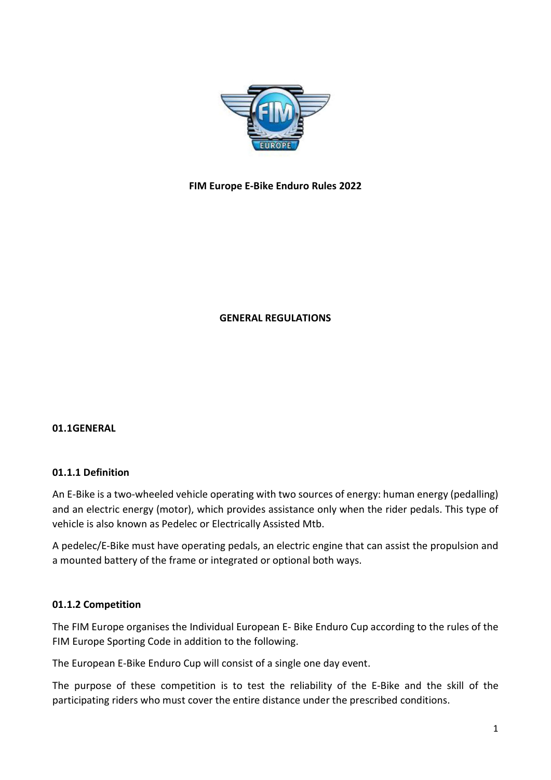

# FIM Europe E-Bike Enduro Rules 2022

# GENERAL REGULATIONS

### 01.1GENERAL

### 01.1.1 Definition

An E-Bike is a two-wheeled vehicle operating with two sources of energy: human energy (pedalling) and an electric energy (motor), which provides assistance only when the rider pedals. This type of vehicle is also known as Pedelec or Electrically Assisted Mtb.

A pedelec/E-Bike must have operating pedals, an electric engine that can assist the propulsion and a mounted battery of the frame or integrated or optional both ways.

### 01.1.2 Competition

The FIM Europe organises the Individual European E- Bike Enduro Cup according to the rules of the FIM Europe Sporting Code in addition to the following.

The European E-Bike Enduro Cup will consist of a single one day event.

The purpose of these competition is to test the reliability of the E-Bike and the skill of the participating riders who must cover the entire distance under the prescribed conditions.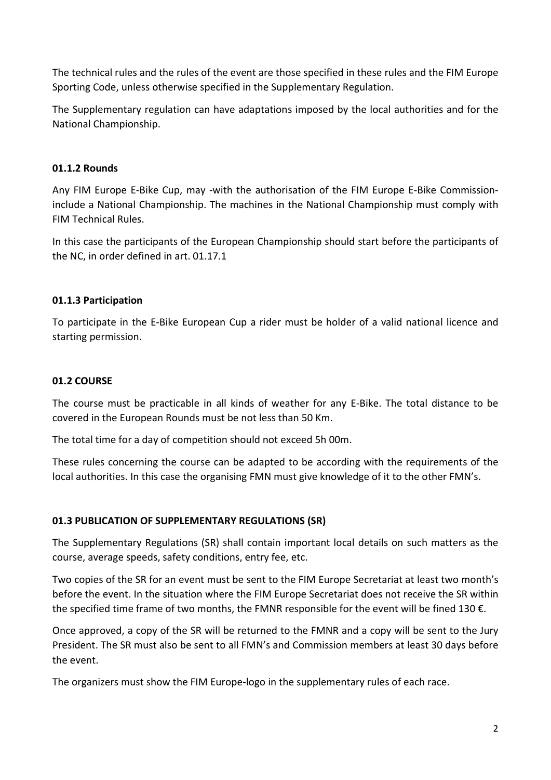The technical rules and the rules of the event are those specified in these rules and the FIM Europe Sporting Code, unless otherwise specified in the Supplementary Regulation.

The Supplementary regulation can have adaptations imposed by the local authorities and for the National Championship.

# 01.1.2 Rounds

Any FIM Europe E-Bike Cup, may -with the authorisation of the FIM Europe E-Bike Commissioninclude a National Championship. The machines in the National Championship must comply with FIM Technical Rules.

In this case the participants of the European Championship should start before the participants of the NC, in order defined in art. 01.17.1

# 01.1.3 Participation

To participate in the E-Bike European Cup a rider must be holder of a valid national licence and starting permission.

# 01.2 COURSE

The course must be practicable in all kinds of weather for any E-Bike. The total distance to be covered in the European Rounds must be not less than 50 Km.

The total time for a day of competition should not exceed 5h 00m.

These rules concerning the course can be adapted to be according with the requirements of the local authorities. In this case the organising FMN must give knowledge of it to the other FMN's.

# 01.3 PUBLICATION OF SUPPLEMENTARY REGULATIONS (SR)

The Supplementary Regulations (SR) shall contain important local details on such matters as the course, average speeds, safety conditions, entry fee, etc.

Two copies of the SR for an event must be sent to the FIM Europe Secretariat at least two month's before the event. In the situation where the FIM Europe Secretariat does not receive the SR within the specified time frame of two months, the FMNR responsible for the event will be fined 130  $\epsilon$ .

Once approved, a copy of the SR will be returned to the FMNR and a copy will be sent to the Jury President. The SR must also be sent to all FMN's and Commission members at least 30 days before the event.

The organizers must show the FIM Europe-logo in the supplementary rules of each race.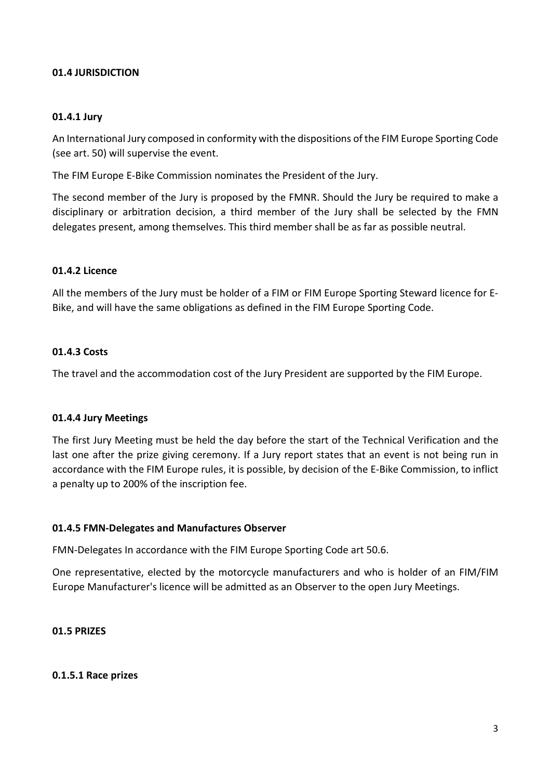## 01.4 JURISDICTION

### 01.4.1 Jury

An International Jury composed in conformity with the dispositions of the FIM Europe Sporting Code (see art. 50) will supervise the event.

The FIM Europe E-Bike Commission nominates the President of the Jury.

The second member of the Jury is proposed by the FMNR. Should the Jury be required to make a disciplinary or arbitration decision, a third member of the Jury shall be selected by the FMN delegates present, among themselves. This third member shall be as far as possible neutral.

## 01.4.2 Licence

All the members of the Jury must be holder of a FIM or FIM Europe Sporting Steward licence for E-Bike, and will have the same obligations as defined in the FIM Europe Sporting Code.

## 01.4.3 Costs

The travel and the accommodation cost of the Jury President are supported by the FIM Europe.

### 01.4.4 Jury Meetings

The first Jury Meeting must be held the day before the start of the Technical Verification and the last one after the prize giving ceremony. If a Jury report states that an event is not being run in accordance with the FIM Europe rules, it is possible, by decision of the E-Bike Commission, to inflict a penalty up to 200% of the inscription fee.

### 01.4.5 FMN-Delegates and Manufactures Observer

FMN-Delegates In accordance with the FIM Europe Sporting Code art 50.6.

One representative, elected by the motorcycle manufacturers and who is holder of an FIM/FIM Europe Manufacturer's licence will be admitted as an Observer to the open Jury Meetings.

### 01.5 PRIZES

### 0.1.5.1 Race prizes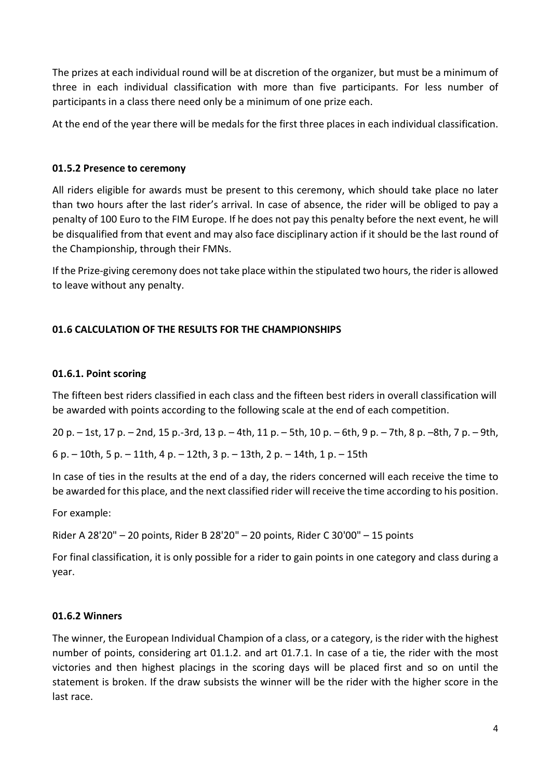The prizes at each individual round will be at discretion of the organizer, but must be a minimum of three in each individual classification with more than five participants. For less number of participants in a class there need only be a minimum of one prize each.

At the end of the year there will be medals for the first three places in each individual classification.

# 01.5.2 Presence to ceremony

All riders eligible for awards must be present to this ceremony, which should take place no later than two hours after the last rider's arrival. In case of absence, the rider will be obliged to pay a penalty of 100 Euro to the FIM Europe. If he does not pay this penalty before the next event, he will be disqualified from that event and may also face disciplinary action if it should be the last round of the Championship, through their FMNs.

If the Prize-giving ceremony does not take place within the stipulated two hours, the rider is allowed to leave without any penalty.

# 01.6 CALCULATION OF THE RESULTS FOR THE CHAMPIONSHIPS

# 01.6.1. Point scoring

The fifteen best riders classified in each class and the fifteen best riders in overall classification will be awarded with points according to the following scale at the end of each competition.

20 p. – 1st, 17 p. – 2nd, 15 p.-3rd, 13 p. – 4th, 11 p. – 5th, 10 p. – 6th, 9 p. – 7th, 8 p. –8th, 7 p. – 9th,

6 p. – 10th, 5 p. – 11th, 4 p. – 12th, 3 p. – 13th, 2 p. – 14th, 1 p. – 15th

In case of ties in the results at the end of a day, the riders concerned will each receive the time to be awarded for this place, and the next classified rider will receive the time according to his position.

For example:

Rider A 28'20" – 20 points, Rider B 28'20" – 20 points, Rider C 30'00" – 15 points

For final classification, it is only possible for a rider to gain points in one category and class during a year.

# 01.6.2 Winners

The winner, the European Individual Champion of a class, or a category, is the rider with the highest number of points, considering art 01.1.2. and art 01.7.1. In case of a tie, the rider with the most victories and then highest placings in the scoring days will be placed first and so on until the statement is broken. If the draw subsists the winner will be the rider with the higher score in the last race.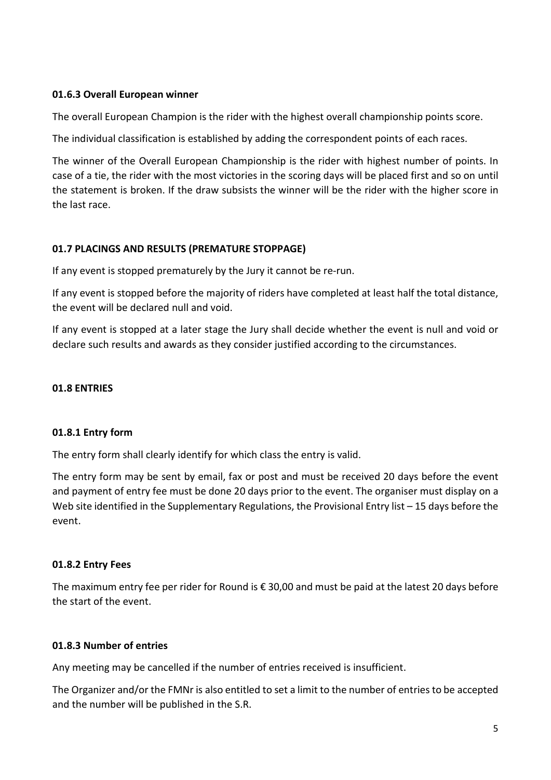## 01.6.3 Overall European winner

The overall European Champion is the rider with the highest overall championship points score.

The individual classification is established by adding the correspondent points of each races.

The winner of the Overall European Championship is the rider with highest number of points. In case of a tie, the rider with the most victories in the scoring days will be placed first and so on until the statement is broken. If the draw subsists the winner will be the rider with the higher score in the last race.

# 01.7 PLACINGS AND RESULTS (PREMATURE STOPPAGE)

If any event is stopped prematurely by the Jury it cannot be re-run.

If any event is stopped before the majority of riders have completed at least half the total distance, the event will be declared null and void.

If any event is stopped at a later stage the Jury shall decide whether the event is null and void or declare such results and awards as they consider justified according to the circumstances.

### 01.8 ENTRIES

### 01.8.1 Entry form

The entry form shall clearly identify for which class the entry is valid.

The entry form may be sent by email, fax or post and must be received 20 days before the event and payment of entry fee must be done 20 days prior to the event. The organiser must display on a Web site identified in the Supplementary Regulations, the Provisional Entry list – 15 days before the event.

### 01.8.2 Entry Fees

The maximum entry fee per rider for Round is € 30,00 and must be paid at the latest 20 days before the start of the event.

### 01.8.3 Number of entries

Any meeting may be cancelled if the number of entries received is insufficient.

The Organizer and/or the FMNr is also entitled to set a limit to the number of entries to be accepted and the number will be published in the S.R.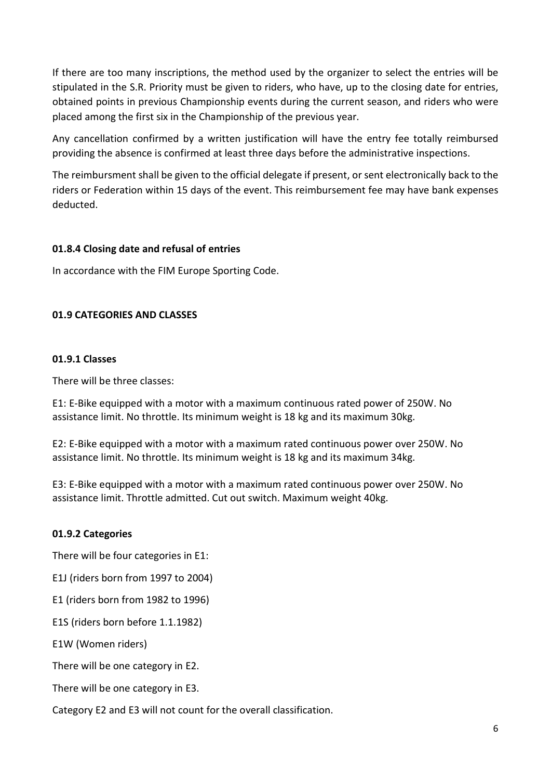If there are too many inscriptions, the method used by the organizer to select the entries will be stipulated in the S.R. Priority must be given to riders, who have, up to the closing date for entries, obtained points in previous Championship events during the current season, and riders who were placed among the first six in the Championship of the previous year.

Any cancellation confirmed by a written justification will have the entry fee totally reimbursed providing the absence is confirmed at least three days before the administrative inspections.

The reimbursment shall be given to the official delegate if present, or sent electronically back to the riders or Federation within 15 days of the event. This reimbursement fee may have bank expenses deducted.

# 01.8.4 Closing date and refusal of entries

In accordance with the FIM Europe Sporting Code.

# 01.9 CATEGORIES AND CLASSES

## 01.9.1 Classes

There will be three classes:

E1: E-Bike equipped with a motor with a maximum continuous rated power of 250W. No assistance limit. No throttle. Its minimum weight is 18 kg and its maximum 30kg.

E2: E-Bike equipped with a motor with a maximum rated continuous power over 250W. No assistance limit. No throttle. Its minimum weight is 18 kg and its maximum 34kg.

E3: E-Bike equipped with a motor with a maximum rated continuous power over 250W. No assistance limit. Throttle admitted. Cut out switch. Maximum weight 40kg.

# 01.9.2 Categories

There will be four categories in E1:

E1J (riders born from 1997 to 2004)

E1 (riders born from 1982 to 1996)

E1S (riders born before 1.1.1982)

E1W (Women riders)

There will be one category in E2.

There will be one category in E3.

Category E2 and E3 will not count for the overall classification.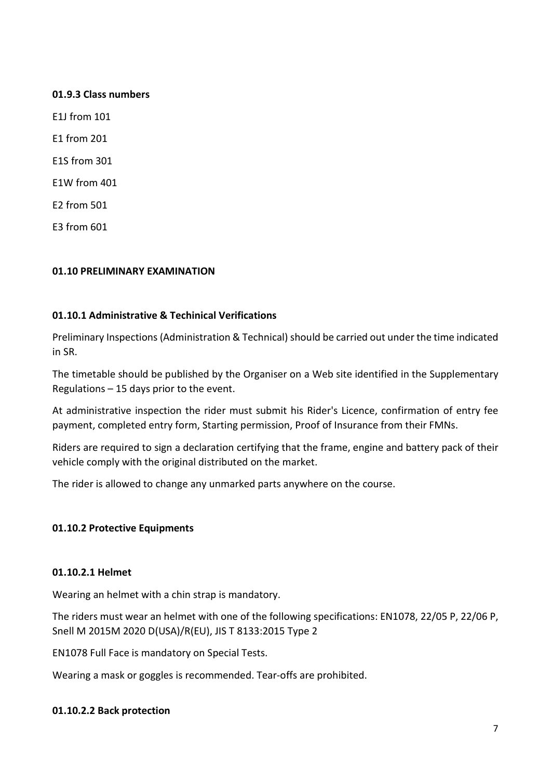## 01.9.3 Class numbers

E1J from 101

E1 from 201

E1S from 301

E1W from 401

E2 from 501

E3 from 601

## 01.10 PRELIMINARY EXAMINATION

## 01.10.1 Administrative & Techinical Verifications

Preliminary Inspections (Administration & Technical) should be carried out under the time indicated in SR.

The timetable should be published by the Organiser on a Web site identified in the Supplementary Regulations – 15 days prior to the event.

At administrative inspection the rider must submit his Rider's Licence, confirmation of entry fee payment, completed entry form, Starting permission, Proof of Insurance from their FMNs.

Riders are required to sign a declaration certifying that the frame, engine and battery pack of their vehicle comply with the original distributed on the market.

The rider is allowed to change any unmarked parts anywhere on the course.

# 01.10.2 Protective Equipments

### 01.10.2.1 Helmet

Wearing an helmet with a chin strap is mandatory.

The riders must wear an helmet with one of the following specifications: EN1078, 22/05 P, 22/06 P, Snell M 2015M 2020 D(USA)/R(EU), JIS T 8133:2015 Type 2

EN1078 Full Face is mandatory on Special Tests.

Wearing a mask or goggles is recommended. Tear-offs are prohibited.

### 01.10.2.2 Back protection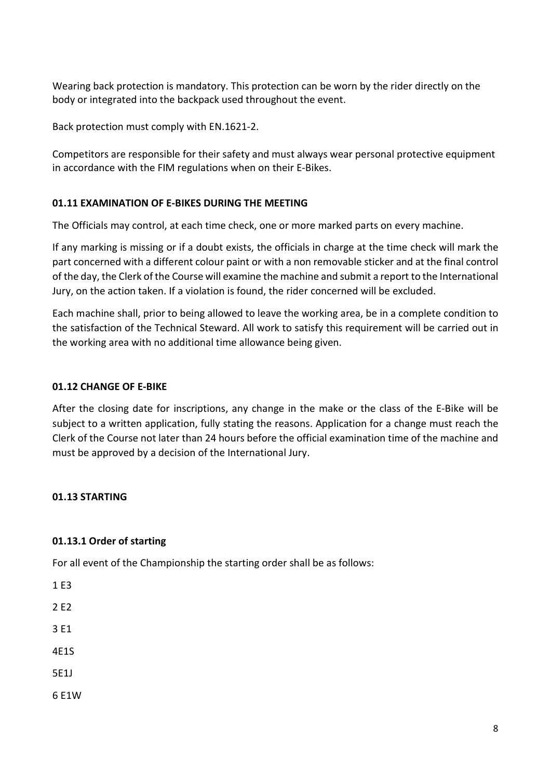Wearing back protection is mandatory. This protection can be worn by the rider directly on the body or integrated into the backpack used throughout the event.

Back protection must comply with EN.1621-2.

Competitors are responsible for their safety and must always wear personal protective equipment in accordance with the FIM regulations when on their E-Bikes.

# 01.11 EXAMINATION OF E-BIKES DURING THE MEETING

The Officials may control, at each time check, one or more marked parts on every machine.

If any marking is missing or if a doubt exists, the officials in charge at the time check will mark the part concerned with a different colour paint or with a non removable sticker and at the final control of the day, the Clerk of the Course will examine the machine and submit a report to the International Jury, on the action taken. If a violation is found, the rider concerned will be excluded.

Each machine shall, prior to being allowed to leave the working area, be in a complete condition to the satisfaction of the Technical Steward. All work to satisfy this requirement will be carried out in the working area with no additional time allowance being given.

# 01.12 CHANGE OF E-BIKE

After the closing date for inscriptions, any change in the make or the class of the E-Bike will be subject to a written application, fully stating the reasons. Application for a change must reach the Clerk of the Course not later than 24 hours before the official examination time of the machine and must be approved by a decision of the International Jury.

# 01.13 STARTING

# 01.13.1 Order of starting

For all event of the Championship the starting order shall be as follows:

- 1 E3
- 2 E2
- 3 E1
- 4E1S
- 5E1J
- 6 E1W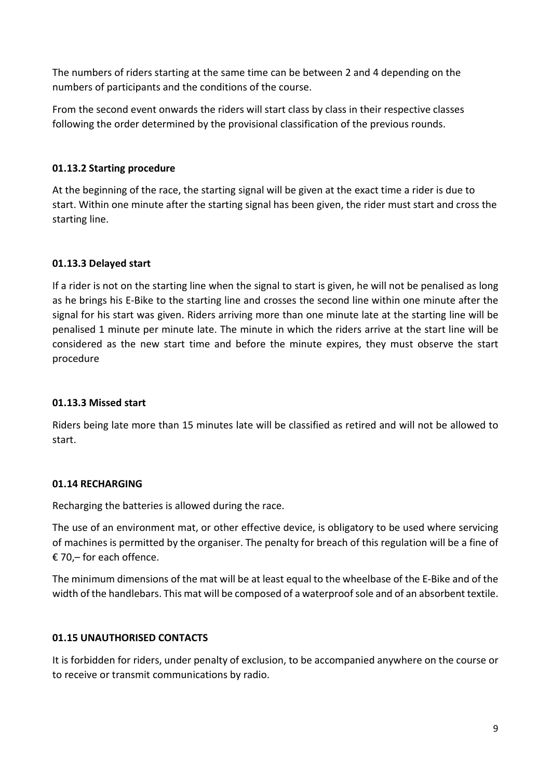The numbers of riders starting at the same time can be between 2 and 4 depending on the numbers of participants and the conditions of the course.

From the second event onwards the riders will start class by class in their respective classes following the order determined by the provisional classification of the previous rounds.

# 01.13.2 Starting procedure

At the beginning of the race, the starting signal will be given at the exact time a rider is due to start. Within one minute after the starting signal has been given, the rider must start and cross the starting line.

# 01.13.3 Delayed start

If a rider is not on the starting line when the signal to start is given, he will not be penalised as long as he brings his E-Bike to the starting line and crosses the second line within one minute after the signal for his start was given. Riders arriving more than one minute late at the starting line will be penalised 1 minute per minute late. The minute in which the riders arrive at the start line will be considered as the new start time and before the minute expires, they must observe the start procedure

# 01.13.3 Missed start

Riders being late more than 15 minutes late will be classified as retired and will not be allowed to start.

# 01.14 RECHARGING

Recharging the batteries is allowed during the race.

The use of an environment mat, or other effective device, is obligatory to be used where servicing of machines is permitted by the organiser. The penalty for breach of this regulation will be a fine of € 70,– for each offence.

The minimum dimensions of the mat will be at least equal to the wheelbase of the E-Bike and of the width of the handlebars. This mat will be composed of a waterproof sole and of an absorbent textile.

# 01.15 UNAUTHORISED CONTACTS

It is forbidden for riders, under penalty of exclusion, to be accompanied anywhere on the course or to receive or transmit communications by radio.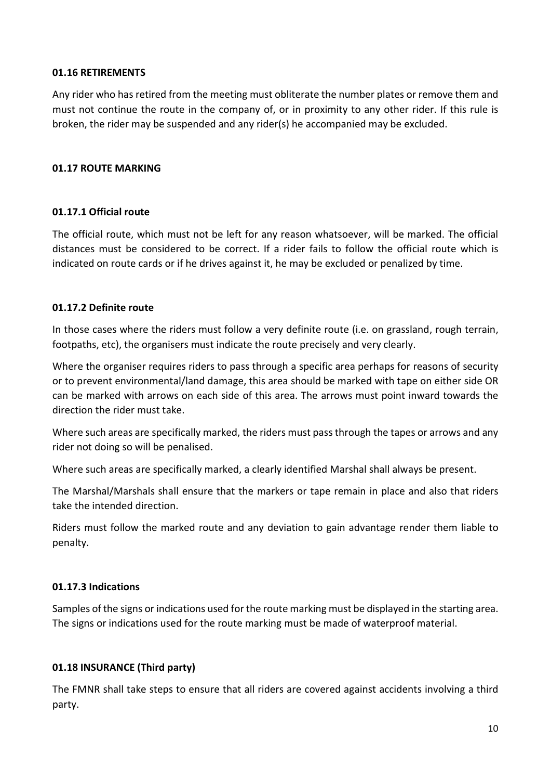## 01.16 RETIREMENTS

Any rider who has retired from the meeting must obliterate the number plates or remove them and must not continue the route in the company of, or in proximity to any other rider. If this rule is broken, the rider may be suspended and any rider(s) he accompanied may be excluded.

## 01.17 ROUTE MARKING

## 01.17.1 Official route

The official route, which must not be left for any reason whatsoever, will be marked. The official distances must be considered to be correct. If a rider fails to follow the official route which is indicated on route cards or if he drives against it, he may be excluded or penalized by time.

## 01.17.2 Definite route

In those cases where the riders must follow a very definite route (i.e. on grassland, rough terrain, footpaths, etc), the organisers must indicate the route precisely and very clearly.

Where the organiser requires riders to pass through a specific area perhaps for reasons of security or to prevent environmental/land damage, this area should be marked with tape on either side OR can be marked with arrows on each side of this area. The arrows must point inward towards the direction the rider must take.

Where such areas are specifically marked, the riders must pass through the tapes or arrows and any rider not doing so will be penalised.

Where such areas are specifically marked, a clearly identified Marshal shall always be present.

The Marshal/Marshals shall ensure that the markers or tape remain in place and also that riders take the intended direction.

Riders must follow the marked route and any deviation to gain advantage render them liable to penalty.

# 01.17.3 Indications

Samples of the signs or indications used for the route marking must be displayed in the starting area. The signs or indications used for the route marking must be made of waterproof material.

# 01.18 INSURANCE (Third party)

The FMNR shall take steps to ensure that all riders are covered against accidents involving a third party.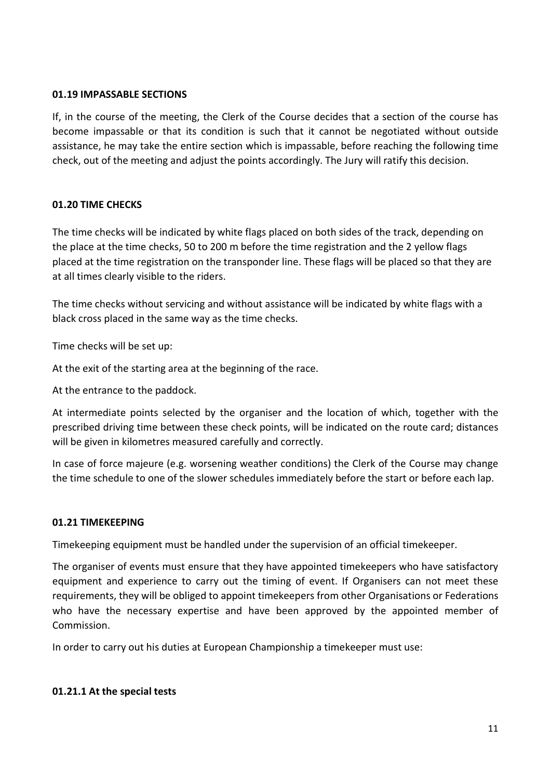## 01.19 IMPASSABLE SECTIONS

If, in the course of the meeting, the Clerk of the Course decides that a section of the course has become impassable or that its condition is such that it cannot be negotiated without outside assistance, he may take the entire section which is impassable, before reaching the following time check, out of the meeting and adjust the points accordingly. The Jury will ratify this decision.

# 01.20 TIME CHECKS

The time checks will be indicated by white flags placed on both sides of the track, depending on the place at the time checks, 50 to 200 m before the time registration and the 2 yellow flags placed at the time registration on the transponder line. These flags will be placed so that they are at all times clearly visible to the riders.

The time checks without servicing and without assistance will be indicated by white flags with a black cross placed in the same way as the time checks.

Time checks will be set up:

At the exit of the starting area at the beginning of the race.

At the entrance to the paddock.

At intermediate points selected by the organiser and the location of which, together with the prescribed driving time between these check points, will be indicated on the route card; distances will be given in kilometres measured carefully and correctly.

In case of force majeure (e.g. worsening weather conditions) the Clerk of the Course may change the time schedule to one of the slower schedules immediately before the start or before each lap.

# 01.21 TIMEKEEPING

Timekeeping equipment must be handled under the supervision of an official timekeeper.

The organiser of events must ensure that they have appointed timekeepers who have satisfactory equipment and experience to carry out the timing of event. If Organisers can not meet these requirements, they will be obliged to appoint timekeepers from other Organisations or Federations who have the necessary expertise and have been approved by the appointed member of Commission.

In order to carry out his duties at European Championship a timekeeper must use:

### 01.21.1 At the special tests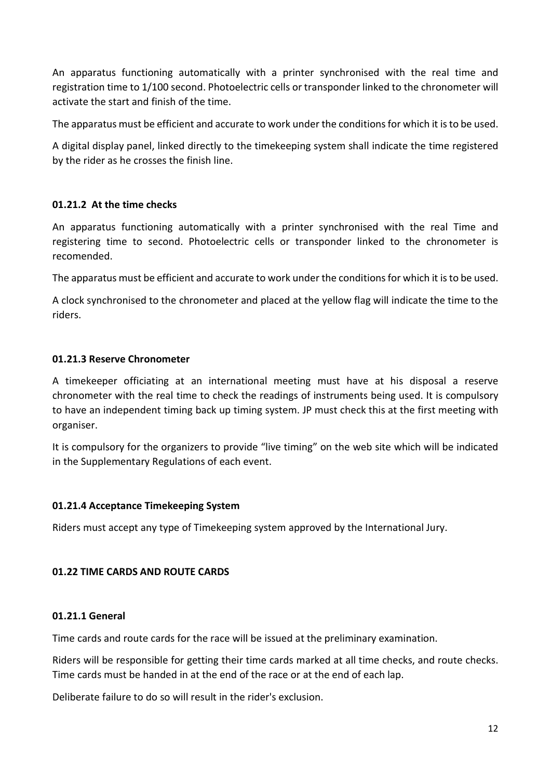An apparatus functioning automatically with a printer synchronised with the real time and registration time to 1/100 second. Photoelectric cells or transponder linked to the chronometer will activate the start and finish of the time.

The apparatus must be efficient and accurate to work under the conditions for which it is to be used.

A digital display panel, linked directly to the timekeeping system shall indicate the time registered by the rider as he crosses the finish line.

## 01.21.2 At the time checks

An apparatus functioning automatically with a printer synchronised with the real Time and registering time to second. Photoelectric cells or transponder linked to the chronometer is recomended.

The apparatus must be efficient and accurate to work under the conditions for which it is to be used.

A clock synchronised to the chronometer and placed at the yellow flag will indicate the time to the riders.

## 01.21.3 Reserve Chronometer

A timekeeper officiating at an international meeting must have at his disposal a reserve chronometer with the real time to check the readings of instruments being used. It is compulsory to have an independent timing back up timing system. JP must check this at the first meeting with organiser.

It is compulsory for the organizers to provide "live timing" on the web site which will be indicated in the Supplementary Regulations of each event.

### 01.21.4 Acceptance Timekeeping System

Riders must accept any type of Timekeeping system approved by the International Jury.

### 01.22 TIME CARDS AND ROUTE CARDS

### 01.21.1 General

Time cards and route cards for the race will be issued at the preliminary examination.

Riders will be responsible for getting their time cards marked at all time checks, and route checks. Time cards must be handed in at the end of the race or at the end of each lap.

Deliberate failure to do so will result in the rider's exclusion.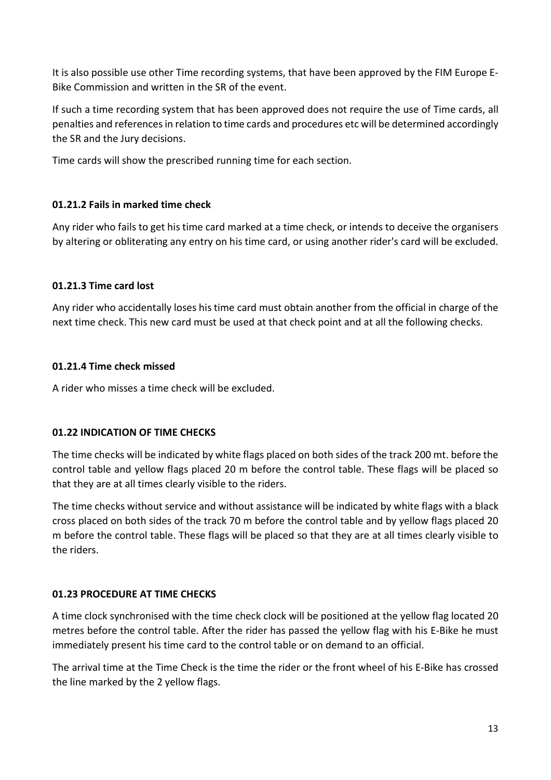It is also possible use other Time recording systems, that have been approved by the FIM Europe E-Bike Commission and written in the SR of the event.

If such a time recording system that has been approved does not require the use of Time cards, all penalties and references in relation to time cards and procedures etc will be determined accordingly the SR and the Jury decisions.

Time cards will show the prescribed running time for each section.

# 01.21.2 Fails in marked time check

Any rider who fails to get his time card marked at a time check, or intends to deceive the organisers by altering or obliterating any entry on his time card, or using another rider's card will be excluded.

# 01.21.3 Time card lost

Any rider who accidentally loses his time card must obtain another from the official in charge of the next time check. This new card must be used at that check point and at all the following checks.

# 01.21.4 Time check missed

A rider who misses a time check will be excluded.

# 01.22 INDICATION OF TIME CHECKS

The time checks will be indicated by white flags placed on both sides of the track 200 mt. before the control table and yellow flags placed 20 m before the control table. These flags will be placed so that they are at all times clearly visible to the riders.

The time checks without service and without assistance will be indicated by white flags with a black cross placed on both sides of the track 70 m before the control table and by yellow flags placed 20 m before the control table. These flags will be placed so that they are at all times clearly visible to the riders.

# 01.23 PROCEDURE AT TIME CHECKS

A time clock synchronised with the time check clock will be positioned at the yellow flag located 20 metres before the control table. After the rider has passed the yellow flag with his E-Bike he must immediately present his time card to the control table or on demand to an official.

The arrival time at the Time Check is the time the rider or the front wheel of his E-Bike has crossed the line marked by the 2 yellow flags.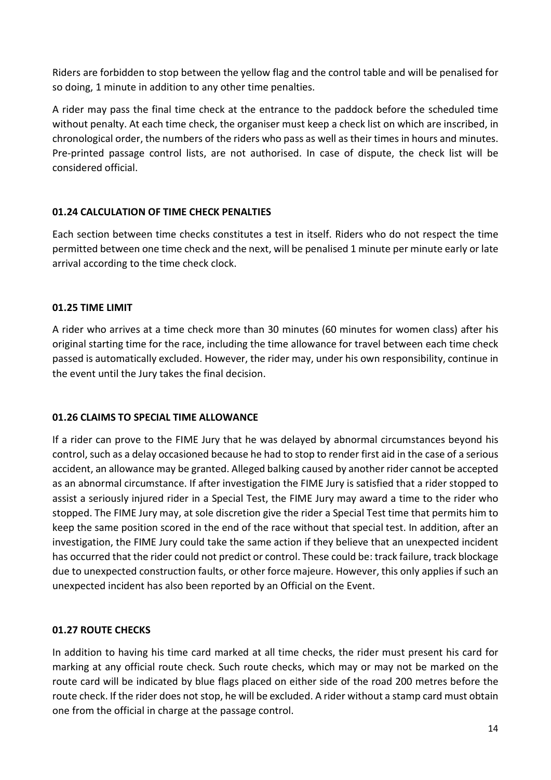Riders are forbidden to stop between the yellow flag and the control table and will be penalised for so doing, 1 minute in addition to any other time penalties.

A rider may pass the final time check at the entrance to the paddock before the scheduled time without penalty. At each time check, the organiser must keep a check list on which are inscribed, in chronological order, the numbers of the riders who pass as well as their times in hours and minutes. Pre-printed passage control lists, are not authorised. In case of dispute, the check list will be considered official.

# 01.24 CALCULATION OF TIME CHECK PENALTIES

Each section between time checks constitutes a test in itself. Riders who do not respect the time permitted between one time check and the next, will be penalised 1 minute per minute early or late arrival according to the time check clock.

# 01.25 TIME LIMIT

A rider who arrives at a time check more than 30 minutes (60 minutes for women class) after his original starting time for the race, including the time allowance for travel between each time check passed is automatically excluded. However, the rider may, under his own responsibility, continue in the event until the Jury takes the final decision.

# 01.26 CLAIMS TO SPECIAL TIME ALLOWANCE

If a rider can prove to the FIME Jury that he was delayed by abnormal circumstances beyond his control, such as a delay occasioned because he had to stop to render first aid in the case of a serious accident, an allowance may be granted. Alleged balking caused by another rider cannot be accepted as an abnormal circumstance. If after investigation the FIME Jury is satisfied that a rider stopped to assist a seriously injured rider in a Special Test, the FIME Jury may award a time to the rider who stopped. The FIME Jury may, at sole discretion give the rider a Special Test time that permits him to keep the same position scored in the end of the race without that special test. In addition, after an investigation, the FIME Jury could take the same action if they believe that an unexpected incident has occurred that the rider could not predict or control. These could be: track failure, track blockage due to unexpected construction faults, or other force majeure. However, this only applies if such an unexpected incident has also been reported by an Official on the Event.

# 01.27 ROUTE CHECKS

In addition to having his time card marked at all time checks, the rider must present his card for marking at any official route check. Such route checks, which may or may not be marked on the route card will be indicated by blue flags placed on either side of the road 200 metres before the route check. If the rider does not stop, he will be excluded. A rider without a stamp card must obtain one from the official in charge at the passage control.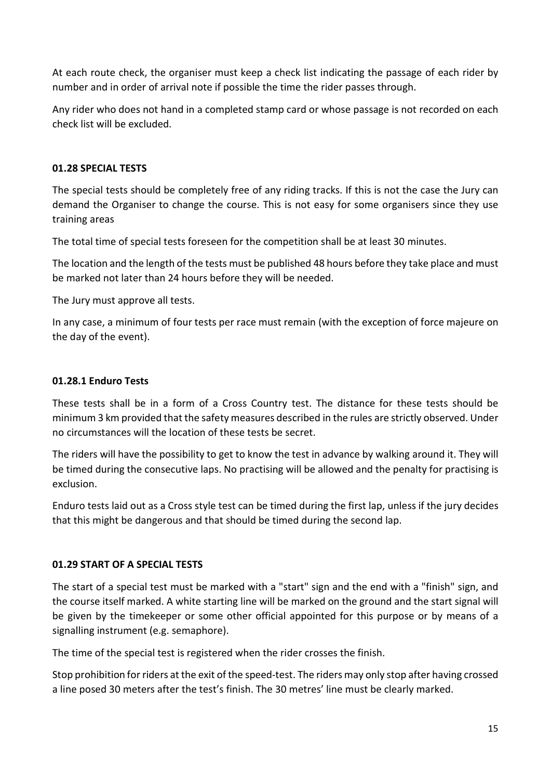At each route check, the organiser must keep a check list indicating the passage of each rider by number and in order of arrival note if possible the time the rider passes through.

Any rider who does not hand in a completed stamp card or whose passage is not recorded on each check list will be excluded.

# 01.28 SPECIAL TESTS

The special tests should be completely free of any riding tracks. If this is not the case the Jury can demand the Organiser to change the course. This is not easy for some organisers since they use training areas

The total time of special tests foreseen for the competition shall be at least 30 minutes.

The location and the length of the tests must be published 48 hours before they take place and must be marked not later than 24 hours before they will be needed.

The Jury must approve all tests.

In any case, a minimum of four tests per race must remain (with the exception of force majeure on the day of the event).

# 01.28.1 Enduro Tests

These tests shall be in a form of a Cross Country test. The distance for these tests should be minimum 3 km provided that the safety measures described in the rules are strictly observed. Under no circumstances will the location of these tests be secret.

The riders will have the possibility to get to know the test in advance by walking around it. They will be timed during the consecutive laps. No practising will be allowed and the penalty for practising is exclusion.

Enduro tests laid out as a Cross style test can be timed during the first lap, unless if the jury decides that this might be dangerous and that should be timed during the second lap.

# 01.29 START OF A SPECIAL TESTS

The start of a special test must be marked with a "start" sign and the end with a "finish" sign, and the course itself marked. A white starting line will be marked on the ground and the start signal will be given by the timekeeper or some other official appointed for this purpose or by means of a signalling instrument (e.g. semaphore).

The time of the special test is registered when the rider crosses the finish.

Stop prohibition for riders at the exit of the speed-test. The riders may only stop after having crossed a line posed 30 meters after the test's finish. The 30 metres' line must be clearly marked.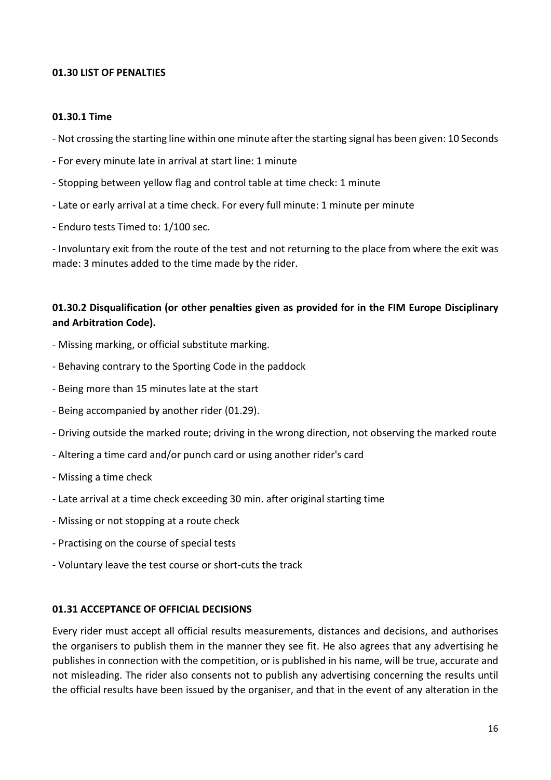### 01.30 LIST OF PENALTIES

#### 01.30.1 Time

- Not crossing the starting line within one minute after the starting signal has been given: 10 Seconds

- For every minute late in arrival at start line: 1 minute
- Stopping between yellow flag and control table at time check: 1 minute
- Late or early arrival at a time check. For every full minute: 1 minute per minute
- Enduro tests Timed to: 1/100 sec.

- Involuntary exit from the route of the test and not returning to the place from where the exit was made: 3 minutes added to the time made by the rider.

# 01.30.2 Disqualification (or other penalties given as provided for in the FIM Europe Disciplinary and Arbitration Code).

- Missing marking, or official substitute marking.
- Behaving contrary to the Sporting Code in the paddock
- Being more than 15 minutes late at the start
- Being accompanied by another rider (01.29).
- Driving outside the marked route; driving in the wrong direction, not observing the marked route
- Altering a time card and/or punch card or using another rider's card
- Missing a time check
- Late arrival at a time check exceeding 30 min. after original starting time
- Missing or not stopping at a route check
- Practising on the course of special tests
- Voluntary leave the test course or short-cuts the track

#### 01.31 ACCEPTANCE OF OFFICIAL DECISIONS

Every rider must accept all official results measurements, distances and decisions, and authorises the organisers to publish them in the manner they see fit. He also agrees that any advertising he publishes in connection with the competition, or is published in his name, will be true, accurate and not misleading. The rider also consents not to publish any advertising concerning the results until the official results have been issued by the organiser, and that in the event of any alteration in the